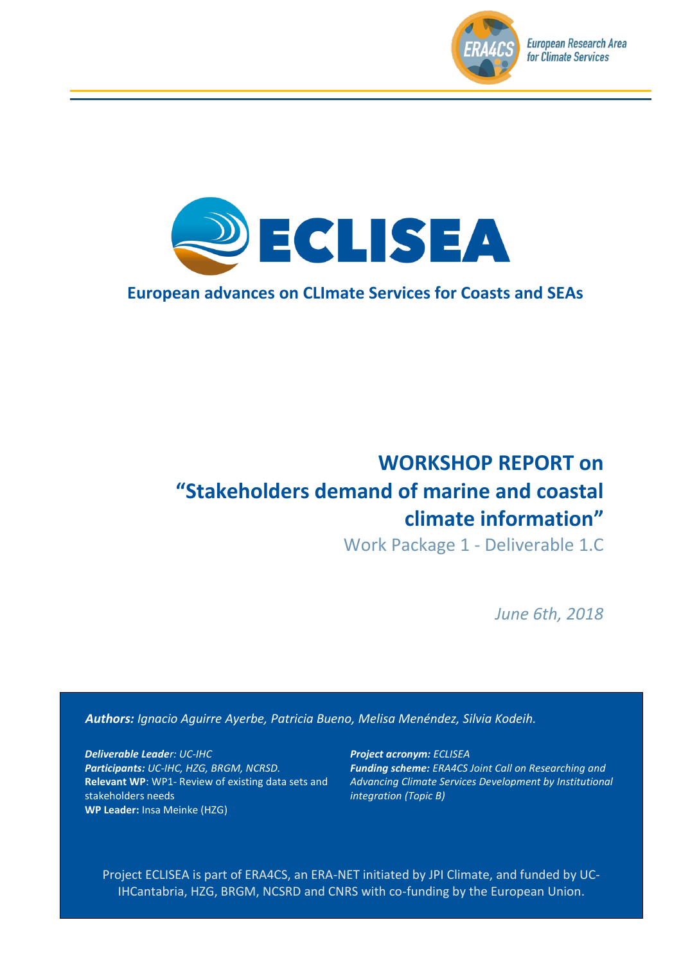



# **European advances on CLImate Services for Coasts and SEAs**

# **WORKSHOP REPORT on "Stakeholders demand of marine and coastal climate information"**

Work Package 1 - Deliverable 1.C

*June 6th, 2018*

*Authors: Ignacio Aguirre Ayerbe, Patricia Bueno, Melisa Menéndez, Silvia Kodeih.*

*Deliverable Leader: UC-IHC Participants: UC-IHC, HZG, BRGM, NCRSD.* **Relevant WP**: WP1- Review of existing data sets and stakeholders needs **WP Leader:** Insa Meinke (HZG)

*Project acronym: ECLISEA Funding scheme: ERA4CS Joint Call on Researching and Advancing Climate Services Development by Institutional integration (Topic B)*

Project ECLISEA is part of ERA4CS, an ERA-NET initiated by JPI Climate, and funded by UC-IHCantabria, HZG, BRGM, NCSRD and CNRS with co-funding by the European Union.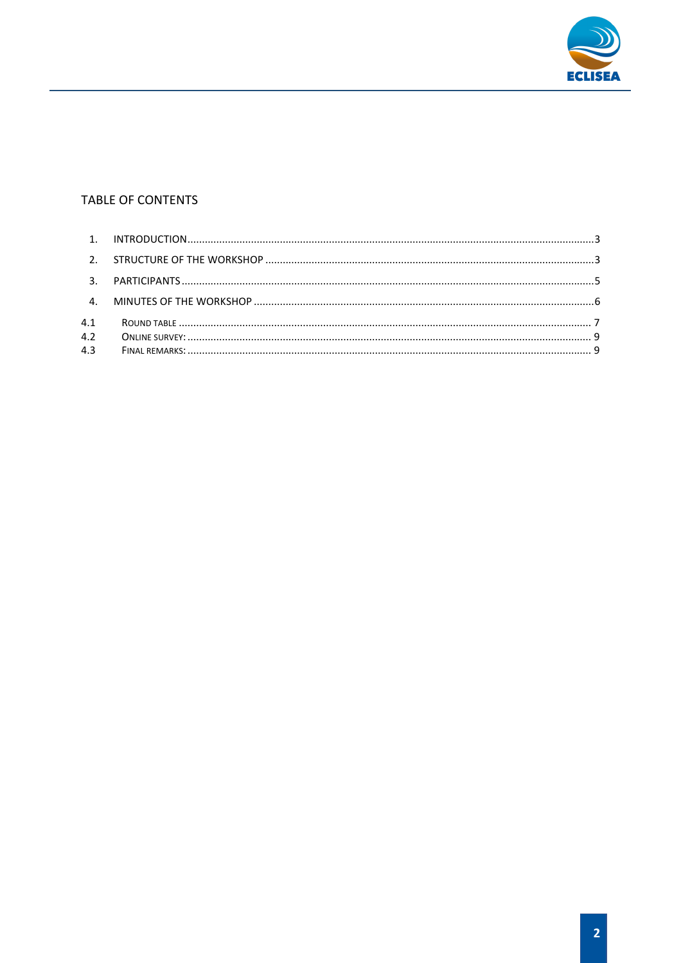

#### TABLE OF CONTENTS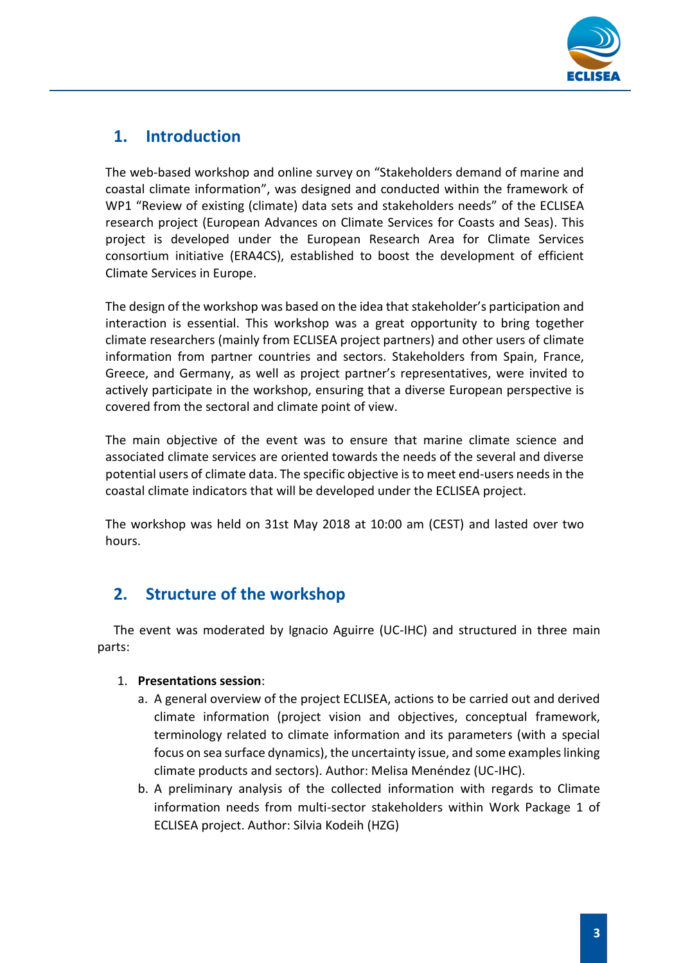

# <span id="page-2-0"></span>**1. Introduction**

The web-based workshop and online survey on "Stakeholders demand of marine and coastal climate information", was designed and conducted within the framework of WP1 "Review of existing (climate) data sets and stakeholders needs" of the ECLISEA research project (European Advances on Climate Services for Coasts and Seas). This project is developed under the European Research Area for Climate Services consortium initiative (ERA4CS), established to boost the development of efficient Climate Services in Europe.

The design of the workshop was based on the idea that stakeholder's participation and interaction is essential. This workshop was a great opportunity to bring together climate researchers (mainly from ECLISEA project partners) and other users of climate information from partner countries and sectors. Stakeholders from Spain, France, Greece, and Germany, as well as project partner's representatives, were invited to actively participate in the workshop, ensuring that a diverse European perspective is covered from the sectoral and climate point of view.

The main objective of the event was to ensure that marine climate science and associated climate services are oriented towards the needs of the several and diverse potential users of climate data. The specific objective is to meet end-users needs in the coastal climate indicators that will be developed under the ECLISEA project.

The workshop was held on 31st May 2018 at 10:00 am (CEST) and lasted over two hours.

# **2. Structure of the workshop**

<span id="page-2-1"></span>The event was moderated by Ignacio Aguirre (UC-IHC) and structured in three main parts:

#### 1. **Presentations session**:

- a. A general overview of the project ECLISEA, actions to be carried out and derived climate information (project vision and objectives, conceptual framework, terminology related to climate information and its parameters (with a special focus on sea surface dynamics), the uncertainty issue, and some examples linking climate products and sectors). Author: Melisa Menéndez (UC-IHC).
- b. A preliminary analysis of the collected information with regards to Climate information needs from multi-sector stakeholders within Work Package 1 of ECLISEA project. Author: Silvia Kodeih (HZG)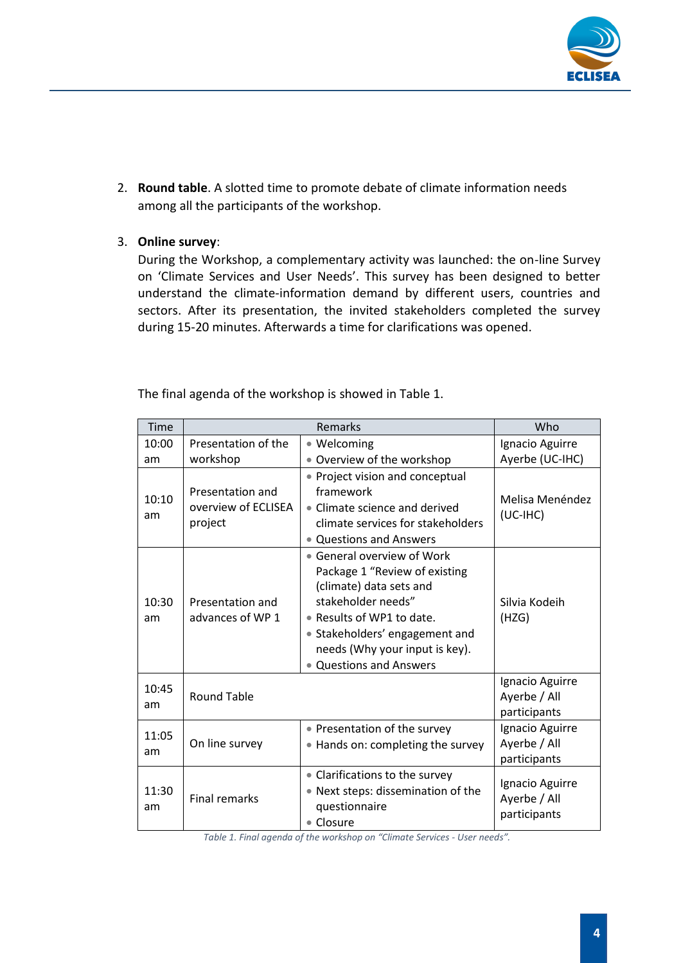

2. **Round table**. A slotted time to promote debate of climate information needs among all the participants of the workshop.

#### 3. **Online survey**:

During the Workshop, a complementary activity was launched: the on-line Survey on 'Climate Services and User Needs'. This survey has been designed to better understand the climate-information demand by different users, countries and sectors. After its presentation, the invited stakeholders completed the survey during 15-20 minutes. Afterwards a time for clarifications was opened.

The final agenda of the workshop is showed in [Table](#page-3-0) 1.

| Time        |                                                    | Remarks                                                                                                                                                                                                                                       | Who                                             |
|-------------|----------------------------------------------------|-----------------------------------------------------------------------------------------------------------------------------------------------------------------------------------------------------------------------------------------------|-------------------------------------------------|
| 10:00<br>am | Presentation of the<br>workshop                    | • Welcoming<br>• Overview of the workshop                                                                                                                                                                                                     | Ignacio Aguirre<br>Ayerbe (UC-IHC)              |
| 10:10<br>am | Presentation and<br>overview of ECLISEA<br>project | • Project vision and conceptual<br>framework<br>• Climate science and derived<br>climate services for stakeholders<br>• Questions and Answers                                                                                                 | Melisa Menéndez<br>$(UC-IHC)$                   |
| 10:30<br>am | Presentation and<br>advances of WP 1               | • General overview of Work<br>Package 1 "Review of existing<br>(climate) data sets and<br>stakeholder needs"<br>• Results of WP1 to date.<br>• Stakeholders' engagement and<br>needs (Why your input is key).<br><b>Questions and Answers</b> | Silvia Kodeih<br>(HZG)                          |
| 10:45<br>am | <b>Round Table</b>                                 |                                                                                                                                                                                                                                               | Ignacio Aguirre<br>Ayerbe / All<br>participants |
| 11:05<br>am | On line survey                                     | • Presentation of the survey<br>• Hands on: completing the survey                                                                                                                                                                             | Ignacio Aguirre<br>Ayerbe / All<br>participants |
| 11:30<br>am | <b>Final remarks</b>                               | • Clarifications to the survey<br>• Next steps: dissemination of the<br>questionnaire<br>• Closure                                                                                                                                            | Ignacio Aguirre<br>Ayerbe / All<br>participants |

<span id="page-3-0"></span>*Table 1. Final agenda of the workshop on "Climate Services - User needs".*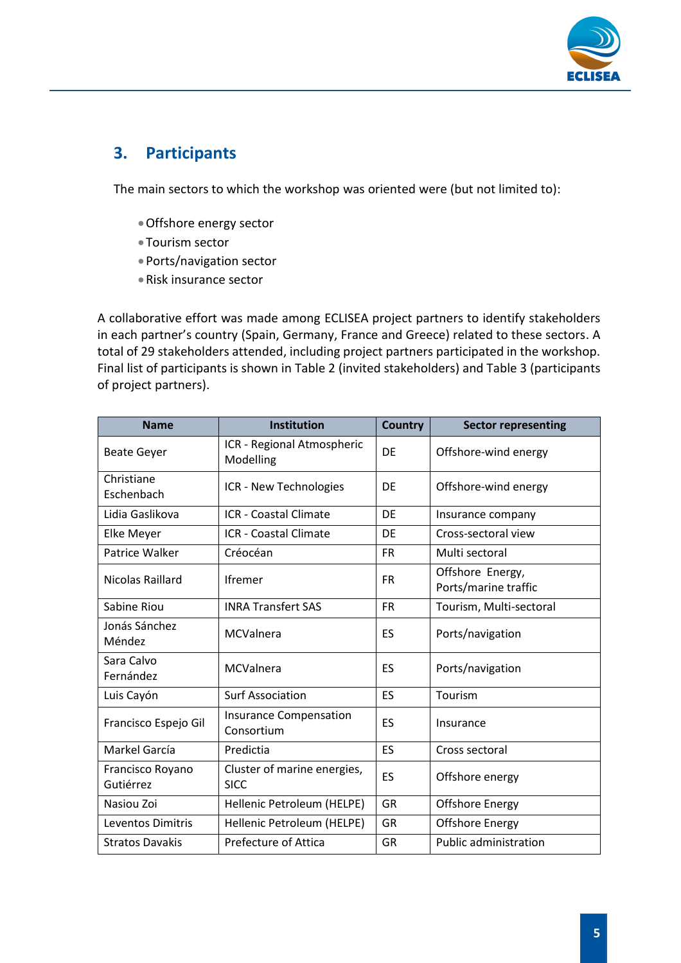

# <span id="page-4-0"></span>**3. Participants**

The main sectors to which the workshop was oriented were (but not limited to):

- •Offshore energy sector
- •Tourism sector
- •Ports/navigation sector
- •Risk insurance sector

A collaborative effort was made among ECLISEA project partners to identify stakeholders in each partner's country (Spain, Germany, France and Greece) related to these sectors. A total of 29 stakeholders attended, including project partners participated in the workshop. Final list of participants is shown in [Table 2](#page-5-1) (invited stakeholders) and [Table 3](#page-5-2) (participants of project partners).

| <b>Name</b>                   | <b>Institution</b>                          | <b>Country</b> | <b>Sector representing</b>               |
|-------------------------------|---------------------------------------------|----------------|------------------------------------------|
| <b>Beate Geyer</b>            | ICR - Regional Atmospheric<br>Modelling     | DF             | Offshore-wind energy                     |
| Christiane<br>Eschenbach      | ICR - New Technologies                      | DE             | Offshore-wind energy                     |
| Lidia Gaslikova               | <b>ICR</b> - Coastal Climate                | DE             | Insurance company                        |
| Elke Meyer                    | <b>ICR</b> - Coastal Climate                | <b>DF</b>      | Cross-sectoral view                      |
| Patrice Walker                | Créocéan                                    | <b>FR</b>      | Multi sectoral                           |
| Nicolas Raillard              | <b>Ifremer</b>                              | <b>FR</b>      | Offshore Energy,<br>Ports/marine traffic |
| Sabine Riou                   | <b>INRA Transfert SAS</b>                   | <b>FR</b>      | Tourism, Multi-sectoral                  |
| Jonás Sánchez<br>Méndez       | <b>MCValnera</b>                            | ES             | Ports/navigation                         |
| Sara Calvo<br>Fernández       | <b>MCValnera</b>                            | ES             | Ports/navigation                         |
| Luis Cayón                    | <b>Surf Association</b>                     | ES             | Tourism                                  |
| Francisco Espejo Gil          | <b>Insurance Compensation</b><br>Consortium | ES             | Insurance                                |
| Markel García                 | Predictia                                   | ES             | Cross sectoral                           |
| Francisco Royano<br>Gutiérrez | Cluster of marine energies,<br><b>SICC</b>  | ES             | Offshore energy                          |
| Nasiou Zoi                    | Hellenic Petroleum (HELPE)                  | <b>GR</b>      | <b>Offshore Energy</b>                   |
| Leventos Dimitris             | Hellenic Petroleum (HELPE)                  | GR             | <b>Offshore Energy</b>                   |
| <b>Stratos Davakis</b>        | <b>Prefecture of Attica</b>                 | <b>GR</b>      | <b>Public administration</b>             |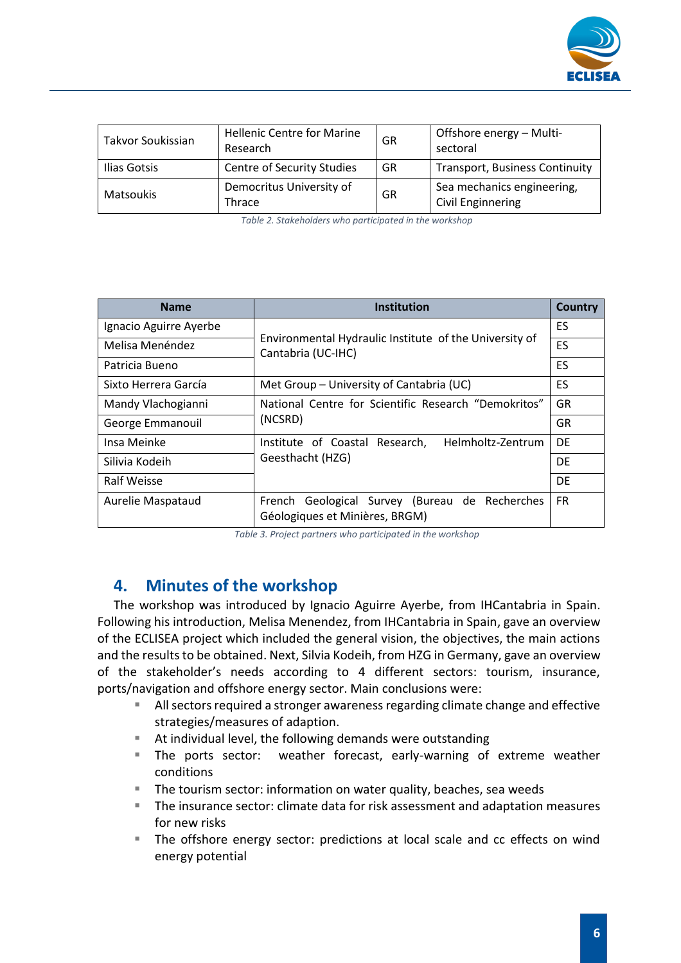

| Takvor Soukissian | <b>Hellenic Centre for Marine</b><br>Research | GR | Offshore energy - Multi-<br>sectoral            |
|-------------------|-----------------------------------------------|----|-------------------------------------------------|
| Ilias Gotsis      | <b>Centre of Security Studies</b>             | GR | <b>Transport, Business Continuity</b>           |
| Matsoukis         | Democritus University of<br><b>Thrace</b>     | GR | Sea mechanics engineering,<br>Civil Enginnering |

*Table 2. Stakeholders who participated in the workshop*

<span id="page-5-1"></span>

| <b>Name</b>            | <b>Institution</b>                                                                  | Country   |  |
|------------------------|-------------------------------------------------------------------------------------|-----------|--|
| Ignacio Aguirre Ayerbe |                                                                                     |           |  |
| Melisa Menéndez        | Environmental Hydraulic Institute of the University of<br>Cantabria (UC-IHC)        | ES        |  |
| Patricia Bueno         |                                                                                     |           |  |
| Sixto Herrera García   | Met Group – University of Cantabria (UC)                                            | ES.       |  |
| Mandy Vlachogianni     | National Centre for Scientific Research "Demokritos"<br>(NCSRD)                     |           |  |
| George Emmanouil       |                                                                                     |           |  |
| Insa Meinke            | Helmholtz-Zentrum<br>Institute of Coastal Research,                                 | DF        |  |
| Silivia Kodeih         | Geesthacht (HZG)                                                                    | DF        |  |
| <b>Ralf Weisse</b>     |                                                                                     |           |  |
| Aurelie Maspataud      | Geological Survey (Bureau de Recherches<br>French<br>Géologiques et Minières, BRGM) | <b>FR</b> |  |

*Table 3. Project partners who participated in the workshop*

### <span id="page-5-2"></span>**4. Minutes of the workshop**

<span id="page-5-0"></span>The workshop was introduced by Ignacio Aguirre Ayerbe, from IHCantabria in Spain. Following his introduction, Melisa Menendez, from IHCantabria in Spain, gave an overview of the ECLISEA project which included the general vision, the objectives, the main actions and the results to be obtained. Next, Silvia Kodeih, from HZG in Germany, gave an overview of the stakeholder's needs according to 4 different sectors: tourism, insurance, ports/navigation and offshore energy sector. Main conclusions were:

- All sectors required a stronger awareness regarding climate change and effective strategies/measures of adaption.
- At individual level, the following demands were outstanding
- **The ports sector:** weather forecast, early-warning of extreme weather conditions
- The tourism sector: information on water quality, beaches, sea weeds
- The insurance sector: climate data for risk assessment and adaptation measures for new risks
- The offshore energy sector: predictions at local scale and cc effects on wind energy potential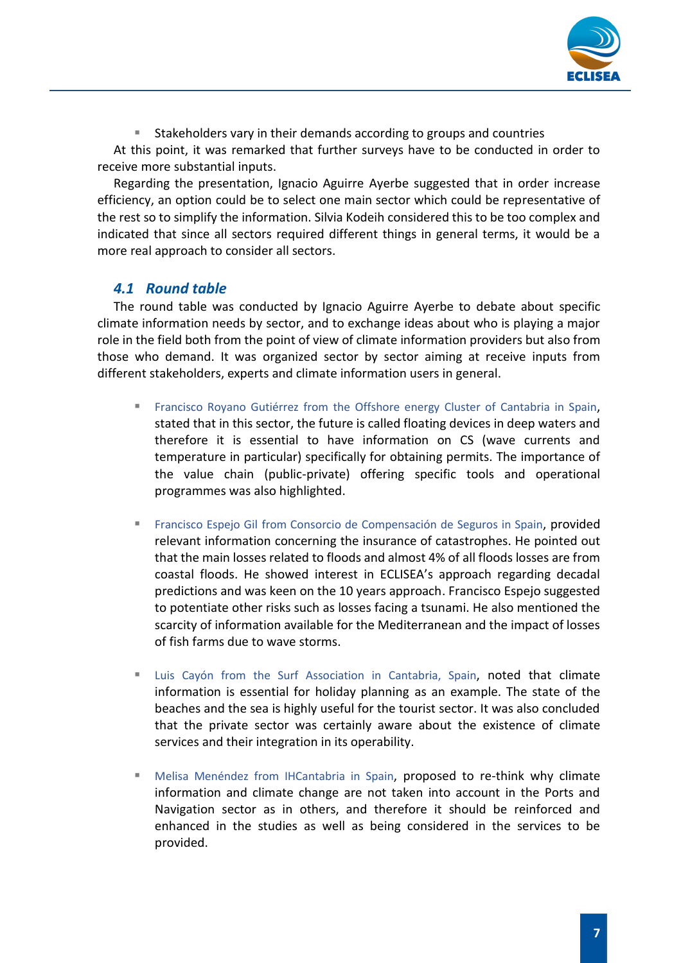

Stakeholders vary in their demands according to groups and countries

At this point, it was remarked that further surveys have to be conducted in order to receive more substantial inputs.

Regarding the presentation, Ignacio Aguirre Ayerbe suggested that in order increase efficiency, an option could be to select one main sector which could be representative of the rest so to simplify the information. Silvia Kodeih considered this to be too complex and indicated that since all sectors required different things in general terms, it would be a more real approach to consider all sectors.

### *4.1 Round table*

<span id="page-6-0"></span>The round table was conducted by Ignacio Aguirre Ayerbe to debate about specific climate information needs by sector, and to exchange ideas about who is playing a major role in the field both from the point of view of climate information providers but also from those who demand. It was organized sector by sector aiming at receive inputs from different stakeholders, experts and climate information users in general.

- Francisco Royano Gutiérrez from the Offshore energy Cluster of Cantabria in Spain, stated that in this sector, the future is called floating devices in deep waters and therefore it is essential to have information on CS (wave currents and temperature in particular) specifically for obtaining permits. The importance of the value chain (public-private) offering specific tools and operational programmes was also highlighted.
- **Example 5 Francisco Espejo Gil from Consorcio de Compensación de Seguros in Spain, provided** relevant information concerning the insurance of catastrophes. He pointed out that the main losses related to floods and almost 4% of all floods losses are from coastal floods. He showed interest in ECLISEA's approach regarding decadal predictions and was keen on the 10 years approach. Francisco Espejo suggested to potentiate other risks such as losses facing a tsunami. He also mentioned the scarcity of information available for the Mediterranean and the impact of losses of fish farms due to wave storms.
- Luis Cayón from the Surf Association in Cantabria, Spain, noted that climate information is essential for holiday planning as an example. The state of the beaches and the sea is highly useful for the tourist sector. It was also concluded that the private sector was certainly aware about the existence of climate services and their integration in its operability.
- **E** Melisa Menéndez from IHCantabria in Spain, proposed to re-think why climate information and climate change are not taken into account in the Ports and Navigation sector as in others, and therefore it should be reinforced and enhanced in the studies as well as being considered in the services to be provided.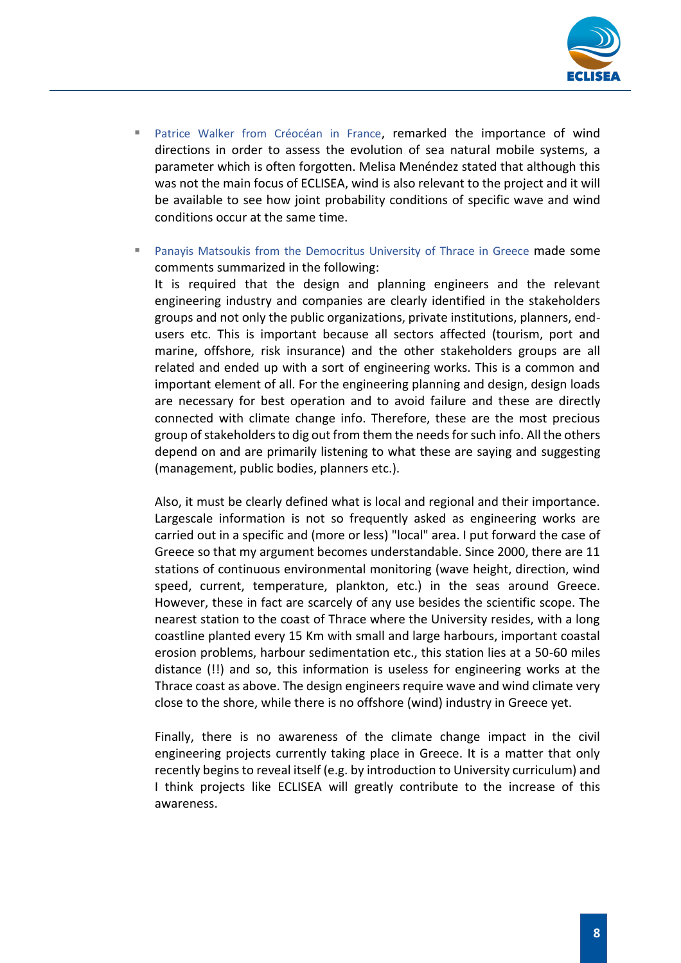

- Patrice Walker from Créocéan in France, remarked the importance of wind directions in order to assess the evolution of sea natural mobile systems, a parameter which is often forgotten. Melisa Menéndez stated that although this was not the main focus of ECLISEA, wind is also relevant to the project and it will be available to see how joint probability conditions of specific wave and wind conditions occur at the same time.
- Panayis Matsoukis from the Democritus University of Thrace in Greece made some comments summarized in the following: It is required that the design and planning engineers and the relevant engineering industry and companies are clearly identified in the stakeholders groups and not only the public organizations, private institutions, planners, endusers etc. This is important because all sectors affected (tourism, port and marine, offshore, risk insurance) and the other stakeholders groups are all related and ended up with a sort of engineering works. This is a common and important element of all. For the engineering planning and design, design loads are necessary for best operation and to avoid failure and these are directly connected with climate change info. Therefore, these are the most precious group of stakeholders to dig out from them the needs for such info. All the others depend on and are primarily listening to what these are saying and suggesting (management, public bodies, planners etc.).

Also, it must be clearly defined what is local and regional and their importance. Largescale information is not so frequently asked as engineering works are carried out in a specific and (more or less) "local" area. I put forward the case of Greece so that my argument becomes understandable. Since 2000, there are 11 stations of continuous environmental monitoring (wave height, direction, wind speed, current, temperature, plankton, etc.) in the seas around Greece. However, these in fact are scarcely of any use besides the scientific scope. The nearest station to the coast of Thrace where the University resides, with a long coastline planted every 15 Km with small and large harbours, important coastal erosion problems, harbour sedimentation etc., this station lies at a 50-60 miles distance (!!) and so, this information is useless for engineering works at the Thrace coast as above. The design engineers require wave and wind climate very close to the shore, while there is no offshore (wind) industry in Greece yet.

Finally, there is no awareness of the climate change impact in the civil engineering projects currently taking place in Greece. It is a matter that only recently beginsto reveal itself (e.g. by introduction to University curriculum) and I think projects like ECLISEA will greatly contribute to the increase of this awareness.